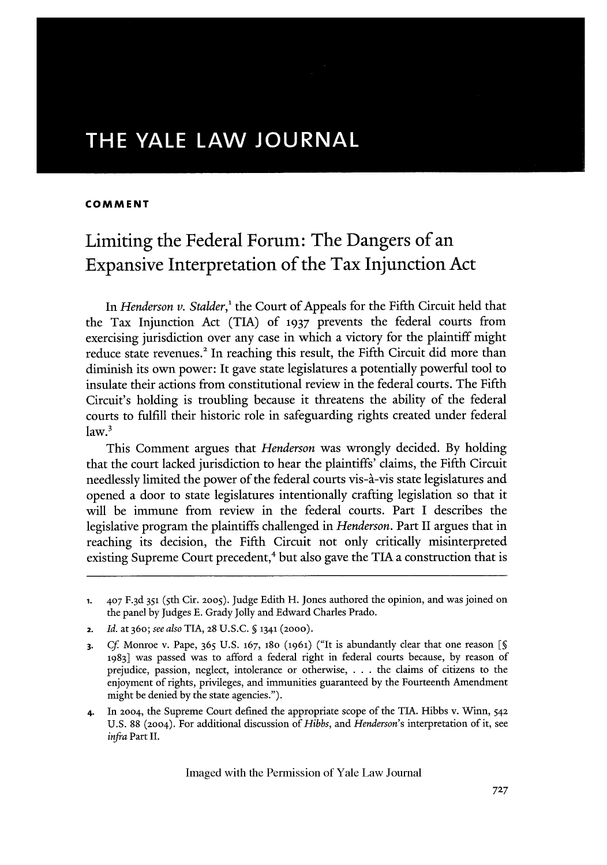# **THE YALE LAW JOURNAL**

## **COMMENT**

# Limiting the Federal Forum: The Dangers of an Expansive Interpretation of the Tax Injunction Act

In *Henderson v. Stalder*,<sup>1</sup> the Court of Appeals for the Fifth Circuit held that the Tax Injunction Act (TIA) of **1937** prevents the federal courts from exercising jurisdiction over any case in which a victory for the plaintiff might reduce state revenues.<sup>2</sup> In reaching this result, the Fifth Circuit did more than diminish its own power: It gave state legislatures a potentially powerful tool to insulate their actions from constitutional review in the federal courts. The Fifth Circuit's holding is troubling because it threatens the ability of the federal courts to fulfill their historic role in safeguarding rights created under federal  $law.<sup>3</sup>$ 

This Comment argues that *Henderson* was wrongly decided. By holding that the court lacked jurisdiction to hear the plaintiffs' claims, the Fifth Circuit needlessly limited the power of the federal courts vis-a'-vis state legislatures and opened a door to state legislatures intentionally crafting legislation so that it will be immune from review in the federal courts. Part I describes the legislative program the plaintiffs challenged in *Henderson.* Part II argues that in reaching its decision, the Fifth Circuit not only critically misinterpreted existing Supreme Court precedent,<sup>4</sup> but also gave the TIA a construction that is

4. In 2004, the Supreme Court defined the appropriate scope of the **TIA.** Hibbs v. Winn, 542 U.S. 88 (2004). For additional discussion of *Hibbs, and Henderson's* interpretation of it, see *infra* Part II.

**<sup>1.</sup>** 407 F. <sup>3</sup> d **351** (5th Cir. **2005).** Judge Edith H. Jones authored the opinion, and was joined on the panel by Judges E. Grady Jolly and Edward Charles Prado.

**<sup>2.</sup>** *Id.* at 360; *see also* **TIA, 28** U.S.C. *§* 1341 (2000).

**<sup>3.</sup>** Cf. Monroe v. Pape, 365 U.S. 167, 180 (1961) ("It is abundantly clear that one reason [§ **1983]** was passed was to afford a federal right in federal courts because, by reason of prejudice, passion, neglect, intolerance or otherwise, . . . the claims of citizens to the enjoyment of rights, privileges, and immunities guaranteed by the Fourteenth Amendment might be denied by the state agencies.").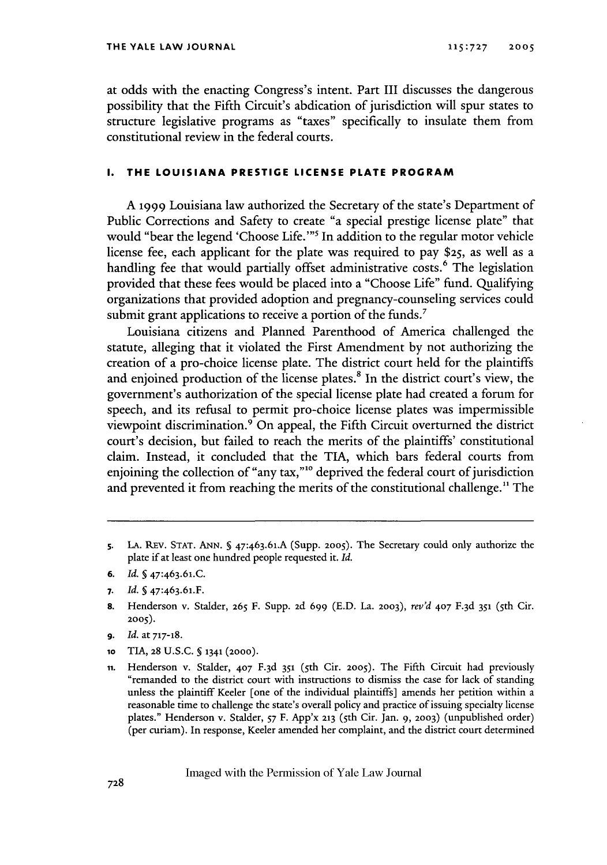at odds with the enacting Congress's intent. Part III discusses the dangerous possibility that the Fifth Circuit's abdication of jurisdiction will spur states to structure legislative programs as "taxes" specifically to insulate them from constitutional review in the federal courts.

## **I. THE LOUISIANA PRESTIGE LICENSE PLATE PROGRAM**

A 1999 Louisiana law authorized the Secretary of the state's Department of Public Corrections and Safety to create "a special prestige license plate" that would "bear the legend 'Choose Life."<sup>5</sup> In addition to the regular motor vehicle license fee, each applicant for the plate was required to pay \$25, as well as a handling fee that would partially offset administrative costs.<sup>6</sup> The legislation provided that these fees would be placed into a "Choose Life" fund. Qualifying organizations that provided adoption and pregnancy-counseling services could submit grant applications to receive a portion of the funds.<sup>7</sup>

Louisiana citizens and Planned Parenthood of America challenged the statute, alleging that it violated the First Amendment by not authorizing the creation of a pro-choice license plate. The district court held for the plaintiffs and enjoined production of the license plates.<sup>8</sup> In the district court's view, the government's authorization of the special license plate had created a forum for speech, and its refusal to permit pro-choice license plates was impermissible viewpoint discrimination. 9 On appeal, the Fifth Circuit overturned the district court's decision, but failed to reach the merits of the plaintiffs' constitutional claim. Instead, it concluded that the TIA, which bars federal courts from enjoining the collection of "any tax,"<sup>10</sup> deprived the federal court of jurisdictior and prevented it from reaching the merits of the constitutional challenge.<sup>11</sup> The

- **7.** *Id.* **§** 47:463.61.F.
- **8.** Henderson v. Stalder, **265** F. Supp. 2d 699 (E.D. La. **2003),** *rev'd* 407 F. <sup>3</sup> d **351** (5th Cir. **2005).**
- **9.** *Id.* at 717-18.
- **1o** TIA, 28 U.S.C. **§** 1341 **(2000).**
- **ii.** Henderson v. Stalder, 407 F.3d 351 (5th Cir. 2005). The Fifth Circuit had previously "remanded to the district court with instructions to dismiss the case for lack of standing unless the plaintiff Keeler [one of the individual plaintiffs] amends her petition within a reasonable time to challenge the state's overall policy and practice of issuing specialty license plates." Henderson v. Stalder, **S7** F. App'x **213** (sth Cir. Jan. 9, **2003)** (unpublished order) (per curiam). In response, Keeler amended her complaint, and the district court determined

s. **LA.** REV. STAT. ANN. **5** <sup>4</sup> <sup>7</sup> :4 63.61.A (Supp. **2005).** The Secretary could only authorize the plate if at least one hundred people requested it. *Id.*

**<sup>6.</sup>** *Id.* **§** 47:463.61.C.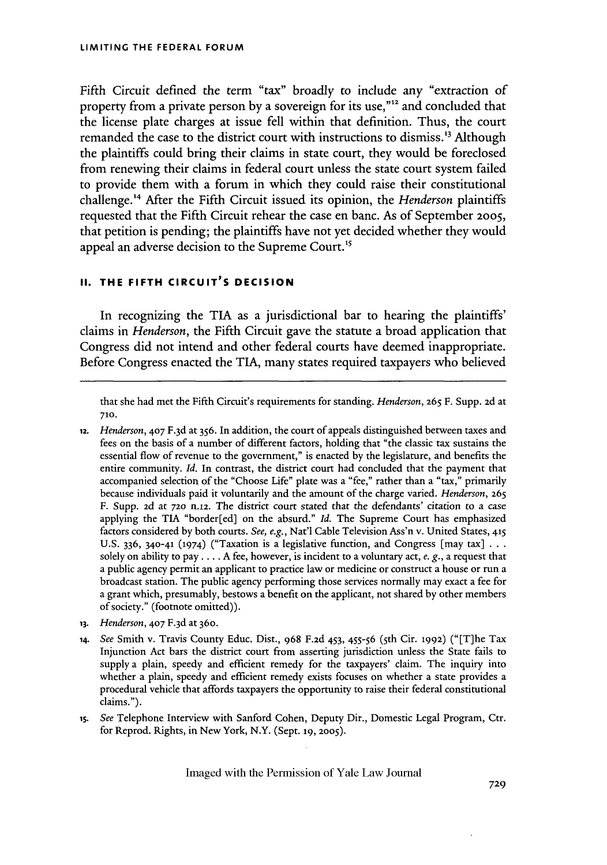Fifth Circuit defined the term "tax" broadly to include any "extraction of property from a private person by a sovereign for its use,"'" and concluded that the license plate charges at issue fell within that definition. Thus, the court remanded the case to the district court with instructions to dismiss.<sup>13</sup> Although the plaintiffs could bring their claims in state court, they would be foreclosed from renewing their claims in federal court unless the state court system failed to provide them with a forum in which they could raise their constitutional challenge.<sup>14</sup> After the Fifth Circuit issued its opinion, the *Henderson* plaintiffs requested that the Fifth Circuit rehear the case en banc. As of September 2005, that petition is pending; the plaintiffs have not yet decided whether they would appeal an adverse decision to the Supreme Court."5

## **II. THE FIFTH CIRCUIT'S DECISION**

In recognizing the **TIA** as a jurisdictional bar to hearing the plaintiffs' claims in *Henderson,* the Fifth Circuit gave the statute a broad application that Congress did not intend and other federal courts have deemed inappropriate. Before Congress enacted the TIA, many states required taxpayers who believed

that she had met the Fifth Circuit's requirements for standing. *Henderson,* 265 F. Supp. **2d** at **710.**

- *12. Henderson,* **407** F.3d at 356. In addition, the court of appeals distinguished between taxes and fees on the basis of a number of different factors, holding that "the classic tax sustains the essential flow of revenue to the government," is enacted by the legislature, and benefits the entire community. *Id.* In contrast, the district court had concluded that the payment that accompanied selection of the "Choose Life" plate was a "fee," rather than a "tax," primarily because individuals paid it voluntarily and the amount of the charge varied. *Henderson,* 265 F. Supp. 2d at 720 n.12. The district court stated that the defendants' citation to a case applying the TIA "border[ed] on the absurd." *Id.* The Supreme Court has emphasized factors considered by both courts. *See, e.g.,* Nat'l Cable Television Ass'n v. United States, **415** U.S. 336, 340-41 (1974) ("Taxation is a legislative function, and Congress [may tax] **. . .** solely on ability to pay **....** A fee, however, is incident to a voluntary act, *e. g.,* a request that a public agency permit an applicant to practice law or medicine or construct a house or run a broadcast station. The public agency performing those services normally may exact a fee for a grant which, presumably, bestows a benefit on the applicant, not shared by other members of society." (footnote omitted)).
- **13.** *Henderson*, 407 F.3d at 360.
- *14. See* Smith v. Travis County Educ. Dist., 968 **F.2d** 453, 455-56 (5th Cir. 1992) ("[T]he Tax Injunction Act bars the district court from asserting jurisdiction unless the State fails to supply a plain, speedy and efficient remedy for the taxpayers' claim. The inquiry into whether a plain, speedy and efficient remedy exists focuses on whether a state provides a procedural vehicle that affords taxpayers the opportunity to raise their federal constitutional claims.").
- *is. See* Telephone Interview with Sanford Cohen, Deputy Dir., Domestic Legal Program, Ctr. for Reprod. Rights, in New York, N.Y. (Sept. **19, 2005).**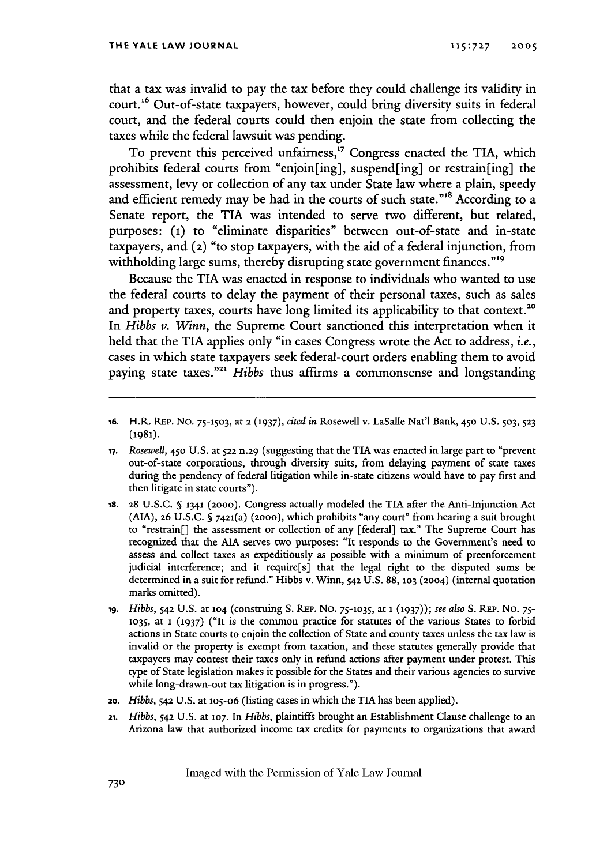that a tax was invalid to pay the tax before they could challenge its validity in court.<sup>16</sup> Out-of-state taxpayers, however, could bring diversity suits in federal court, and the federal courts could then enjoin the state from collecting the taxes while the federal lawsuit was pending.

To prevent this perceived unfairness,<sup>17</sup> Congress enacted the TIA, which prohibits federal courts from "enjoin[ing], suspend[ing] or restrain[ing] the assessment, levy or collection of any tax under State law where a plain, speedy and efficient remedy may be had in the courts of such state."<sup>18</sup> According to a Senate report, the TIA was intended to serve two different, but related, purposes: **(1)** to "eliminate disparities" between out-of-state and in-state taxpayers, and (2) "to stop taxpayers, with the aid of a federal injunction, from withholding large sums, thereby disrupting state government finances."<sup>19</sup>

Because the TIA was enacted in response to individuals who wanted to use the federal courts to delay the payment of their personal taxes, such as sales and property taxes, courts have long limited its applicability to that context.<sup>20</sup> In *Hibbs v. Winn,* the Supreme Court sanctioned this interpretation when it held that the TIA applies only "in cases Congress wrote the Act to address, *i.e.,* cases in which state taxpayers seek federal-court orders enabling them to avoid paying state taxes."<sup>21</sup> *Hibbs* thus affirms a commonsense and longstanding

- **18. 28** U.S.C. **§** 1341 **(2000).** Congress actually modeled the TIA after the Anti-Injunction Act (AIA), **26** U.S.C. **§** 7421(a) **(2000),** which prohibits "any court" from hearing a suit brought to "restrain[] the assessment or collection of any [federal] tax." The Supreme Court has recognized that the **AIA** serves two purposes: "It responds to the Government's need to assess and collect taxes as expeditiously as possible with a minimum of preenforcement judicial interference; and it require[s] that the legal right to the disputed sums be determined in a suit for refund." Hibbs v. Winn, **542** U.S. **88, 103** (2004) (internal quotation marks omitted).
- *19. Hibbs,* **542** U.S. at **104** (construing S. REP. No. **75-1035,** at **1 (1937));** *see also* **S.** REP. No. 75- **1035,** at **i (1937)** ("It is the common practice for statutes of the various States to forbid actions in State courts to enjoin the collection of State and county taxes unless the tax law is invalid or the property is exempt from taxation, and these statutes generally provide that taxpayers may contest their taxes only in refund actions after payment under protest. This type of State legislation makes it possible for the States and their various agencies to survive while long-drawn-out tax litigation is in progress.").
- *2o. Hibbs,* 542 U.S. at **105-o6** (listing cases in which the **TIA** has been applied).
- *21. Hibbs,* **542** U.S. at **107.** In *Hibbs,* plaintiffs brought an Establishment Clause challenge to an Arizona law that authorized income tax credits for payments to organizations that award

**<sup>16.</sup>** H.R. REP. No. **75-1503,** at 2 (1937), *cited in* Rosewell v. LaSalle Nat'l Bank, **450** U.S. **503, 523 (1981).**

*<sup>17.</sup> Rosewell,* **450** U.S. at **522** n.29 (suggesting that the TIA was enacted in large part to "prevent out-of-state corporations, through diversity suits, from delaying payment of state taxes during the pendency of federal litigation while in-state citizens would have to pay first and then litigate in state courts").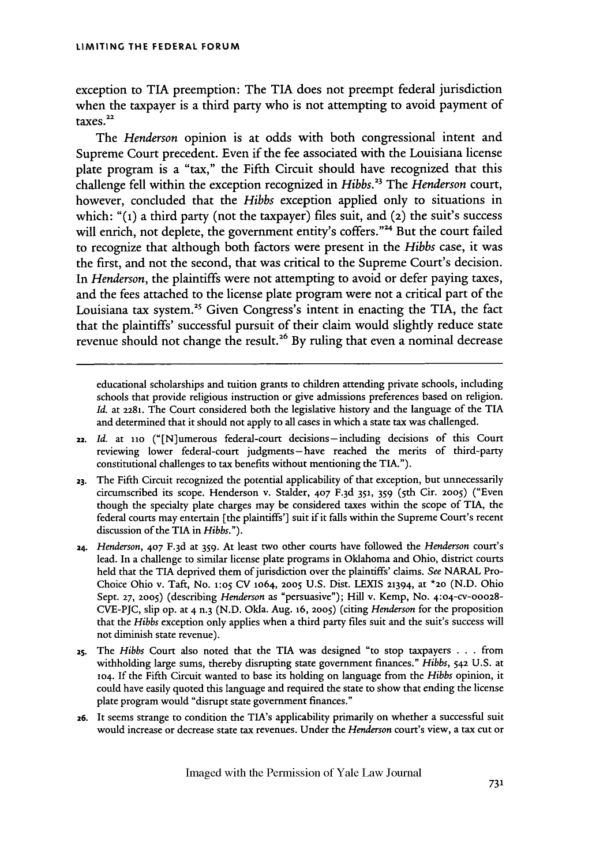exception to **TIA** preemption: The TIA does not preempt federal jurisdiction when the taxpayer is a third party who is not attempting to avoid payment of taxes.<sup>22</sup>

The *Henderson* opinion is at odds with both congressional intent and Supreme Court precedent. Even if the fee associated with the Louisiana license plate program is a "tax," the Fifth Circuit should have recognized that this challenge fell within the exception recognized in *Hibbs.23* The *Henderson* court, however, concluded that the *Hibbs* exception applied only to situations in which: **"(1)** a third party (not the taxpayer) files suit, and **(2)** the suit's success will enrich, not deplete, the government entity's coffers."<sup>24</sup> But the court failed to recognize that although both factors were present in the *Hibbs* case, it was the first, and not the second, that was critical to the Supreme Court's decision. In *Henderson,* the plaintiffs were not attempting to avoid or defer paying taxes, and the fees attached to the license plate program were not a critical part of the Louisiana tax system.<sup>25</sup> Given Congress's intent in enacting the TIA, the fact that the plaintiffs' successful pursuit of their claim would slightly reduce state revenue should not change the result.<sup>26</sup> By ruling that even a nominal decrease

educational scholarships and tuition grants to children attending private schools, including schools that provide religious instruction or give admissions preferences based on religion. *Id.* at **2281.** The Court considered both the legislative history and the language of the TIA and determined that it should not apply to all cases in which a state tax was challenged.

- 22. *Id.* at **i1o** ("[N]umerous federal-court decisions- including decisions of this Court reviewing lower federal-court judgments-have reached the merits of third-party constitutional challenges to tax benefits without mentioning the TIA.").
- **23.** The Fifth Circuit recognized the potential applicability of that exception, but unnecessarily circumscribed its scope. Henderson v. Stalder, 407 F.3d 351, 359 (5th Cir. 2005) ("Even though the specialty plate charges may be considered taxes within the scope of TIA, the federal courts may entertain [the plaintiffs'] suit if it falls within the Supreme Court's recent discussion of the TIA in *Hibbs.").*
- **24.** *Henderson,* 407 F. 3d at 359. At least two other courts have followed the *Henderson* court's lead. In a challenge to similar license plate programs in Oklahoma and Ohio, district courts held that the TIA deprived them of jurisdiction over the plaintiffs' claims. *See* NARAL Pro-Choice Ohio v. Taft, No. **1:o5 CV** 1o64, **2005** U.S. Dist. LEXIS 21394, at **\*20** (N.D. Ohio Sept. **27, 2005)** (describing *Henderson* as "persuasive"); Hill v. Kemp, No. 4:04-cv-00028- CVE-PJC, slip op. at 4 n.3 (N.D. Okla. Aug. 16, **2005)** (citing *Henderson* for the proposition that the *Hibbs* exception only applies when a third party files suit and the suit's success will not diminish state revenue).
- **25.** The *Hibbs* Court also noted that the TIA was designed "to stop taxpayers . . . from withholding large sums, thereby disrupting state government finances." *Hibbs,* **542** U.S. at **104.** If the Fifth Circuit wanted to base its holding on language from the *Hibbs* opinion, it could have easily quoted this language and required the state to show that ending the license plate program would "disrupt state government finances."
- **26.** It seems strange to condition the TIA's applicability primarily on whether a successful suit would increase or decrease state tax revenues. Under the *Henderson* court's view, a tax cut or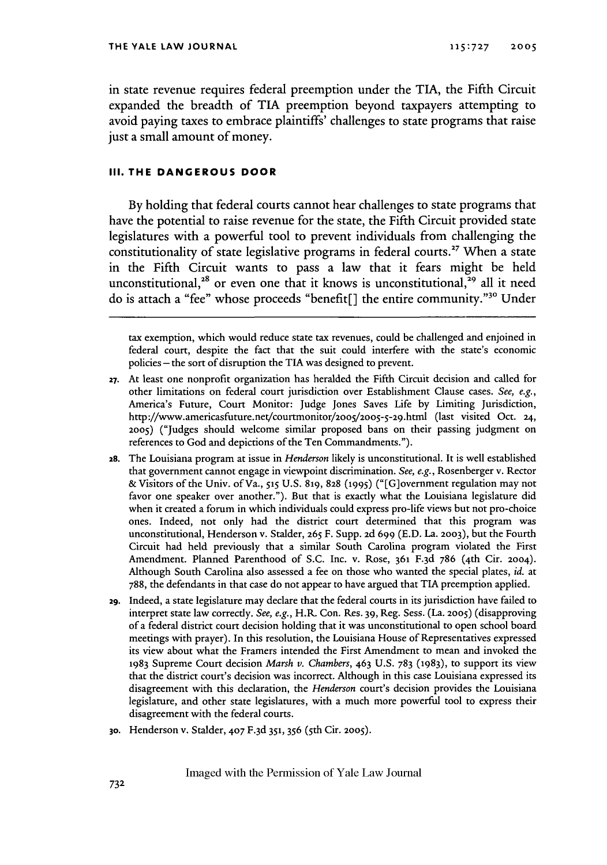in state revenue requires federal preemption under the TIA, the Fifth Circuit expanded the breadth of **TIA** preemption beyond taxpayers attempting to avoid paying taxes to embrace plaintiffs' challenges to state programs that raise just a small amount of money.

## **III. THE DANGEROUS DOOR**

By holding that federal courts cannot hear challenges to state programs that have the potential to raise revenue for the state, the Fifth Circuit provided state legislatures with a powerful tool to prevent individuals from challenging the constitutionality of state legislative programs in federal courts.<sup>27</sup> When a state in the Fifth Circuit wants to pass a law that it fears might be held unconstitutional,<sup>28</sup> or even one that it knows is unconstitutional,<sup>29</sup> all it need do is attach a "fee" whose proceeds "benefit<sup>[]</sup> the entire community."<sup>30</sup> Under

tax exemption, which would reduce state tax revenues, could be challenged and enjoined in federal court, despite the fact that the suit could interfere with the state's economic policies **-** the sort of disruption the TIA was designed to prevent.

- **27.** At least one nonprofit organization has heralded the Fifth Circuit decision and called for other limitations on federal court jurisdiction over Establishment Clause cases. *See, e.g.,* America's Future, Court Monitor: Judge Jones Saves Life by Limiting Jurisdiction, http://www.americasfuture.net/courtmonitor/2oo5/2005-5-29.html (last visited Oct. **24, 2005)** ("Judges should welcome similar proposed bans on their passing judgment on references to God and depictions of the Ten Commandments.").
- **28.** The Louisiana program at issue in *Henderson* likely is unconstitutional. It is well established that government cannot engage in viewpoint discrimination. *See, e.g.,* Rosenberger v. Rector & Visitors of the Univ. of Va., *515* U.S. **819, 828 (1995)** ("[G]overnment regulation may not favor one speaker over another."). But that is exactly what the Louisiana legislature did when it created a forum in which individuals could express pro-life views but not pro-choice ones. Indeed, not only had the district court determined that this program was unconstitutional, Henderson v. Stalder, **265** F. Supp. **2d** 699 (E.D. La. **2003),** but the Fourth Circuit had held previously that a similar South Carolina program violated the First Amendment. Planned Parenthood of S.C. Inc. v. Rose, **361** F.3d 786 (4th Cir. 2004). Although South Carolina also assessed a fee on those who wanted the special plates, *id.* at 788, the defendants in that case do not appear to have argued that TIA preemption applied.
- **29.** Indeed, a state legislature may declare that the federal courts in its jurisdiction have failed to interpret state law correctly. *See, e.g.,* H.R Con. Res. 39, Reg. Sess. (La. **2005)** (disapproving of a federal district court decision holding that it was unconstitutional to open school board meetings with prayer). In this resolution, the Louisiana House of Representatives expressed its view about what the Framers intended the First Amendment to mean and invoked the 1983 Supreme Court decision *Marsh v. Chambers,* 463 U.S. 783 (1983), to support its view that the district court's decision was incorrect. Although in this case Louisiana expressed its disagreement with this declaration, the *Henderson* court's decision provides the Louisiana legislature, and other state legislatures, with a much more powerful tool to express their disagreement with the federal courts.
- 3o. Henderson v. Stalder, 407 F.3d **351,** 356 (5th Cir. **2005).**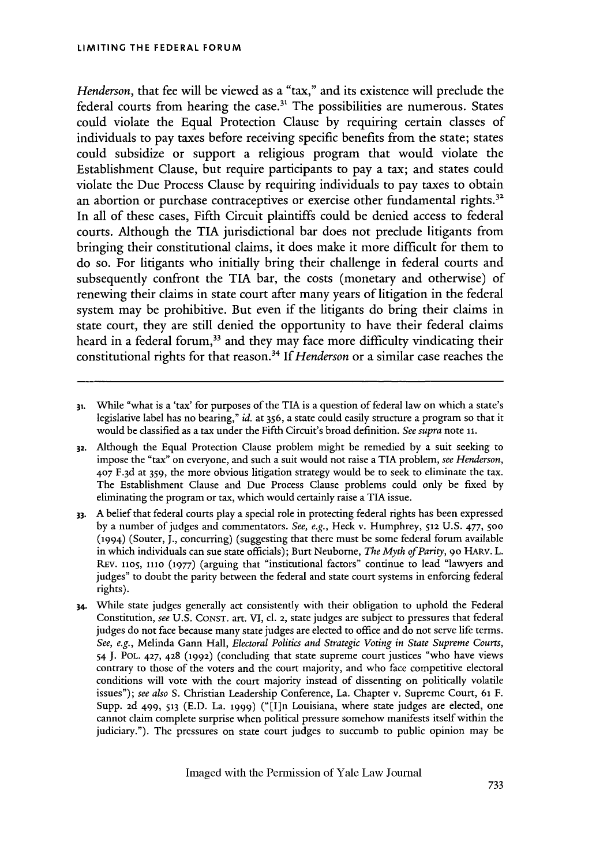*Henderson,* that fee will be viewed as a "tax," and its existence will preclude the federal courts from hearing the case.<sup>31</sup> The possibilities are numerous. States could violate the Equal Protection Clause **by** requiring certain classes of individuals to pay taxes before receiving specific benefits from the state; states could subsidize or support a religious program that would violate the Establishment Clause, but require participants to pay a tax; and states could violate the Due Process Clause **by** requiring individuals to pay taxes to obtain an abortion or purchase contraceptives or exercise other fundamental rights. $^{3}$ In all of these cases, Fifth Circuit plaintiffs could be denied access to federal courts. Although the **TIA** jurisdictional bar does not preclude litigants from bringing their constitutional claims, it does make it more difficult for them to do so. For litigants who initially bring their challenge in federal courts and subsequently confront the **TIA** bar, the costs (monetary and otherwise) of renewing their claims in state court after many years of litigation in the federal system may be prohibitive. But even if the litigants do bring their claims in state court, they are still denied the opportunity to have their federal claims heard in a federal forum,<sup>33</sup> and they may face more difficulty vindicating their constitutional rights for that reason.34 *If Henderson* or a similar case reaches the

**<sup>31.</sup>** While "what is a 'tax' for purposes of the TIA is a question of federal law on which a state's legislative label has no bearing," *id.* at 356, a state could easily structure a program so that it would be classified as a tax under the Fifth Circuit's broad definition. *See supra* note **iI.**

**<sup>32.</sup>** Although the Equal Protection Clause problem might be remedied by a suit seeking to impose the "tax" on everyone, and such a suit would not raise a TIA problem, *see Henderson,* **407** F. 3d at 359, the more obvious litigation strategy would be to seek to eliminate the tax. The Establishment Clause and Due Process Clause problems could only be fixed by eliminating the program or tax, which would certainly raise a TIA issue.

**<sup>33.</sup>** A belief that federal courts play a special role in protecting federal rights has been expressed by a number of judges and commentators. *See, e.g.,* Heck v. Humphrey, 512 U.S. 477, **500** (1994) (Souter, J., concurring) (suggesting that there must be some federal forum available in which individuals can sue state officials); Burt Neuborne, *The Myth of Parity,* **9o** HARv. L. REv. **1105, 1110** (1977) (arguing that "institutional factors" continue to lead "lawyers and judges" to doubt the parity between the federal and state court systems in enforcing federal rights).

<sup>34.</sup> While state judges generally act consistently with their obligation to uphold the Federal Constitution, *see* U.S. CONST. art. VI, **cl. 2,** state judges are subject to pressures that federal judges do not face because many state judges are elected to office and do not serve life terms. *See, e.g.,* Melinda Gann Hall, *Electoral Politics and Strategic Voting in State Supreme Courts, 54* J. POL. 427, 428 (1992) (concluding that state supreme court justices "who have views contrary to those of the voters and the court majority, and who face competitive electoral conditions will vote with the court majority instead of dissenting on politically volatile issues"); *see also* S. Christian Leadership Conference, La. Chapter v. Supreme Court, **61** F. Supp. 2d 499, **513** (E.D. La. **1999)** ("[I]n Louisiana, where state judges are elected, one cannot claim complete surprise when political pressure somehow manifests itself within the judiciary."). The pressures on state court judges to succumb to public opinion may be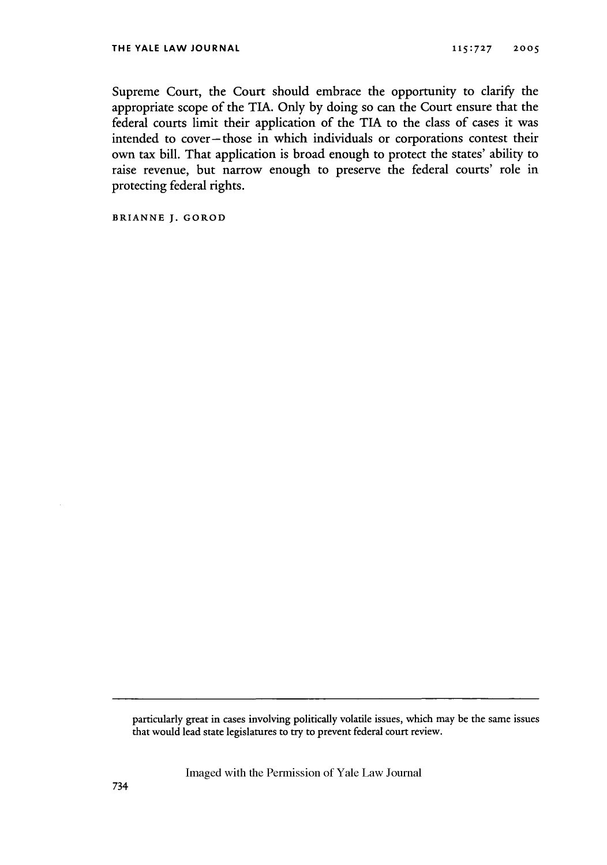Supreme Court, the Court should embrace the opportunity to clarify the appropriate scope of the TIA. Only by doing so can the Court ensure that the federal courts limit their application of the TIA to the class of cases it was intended to cover-those in which individuals or corporations contest their own tax bill. That application is broad enough to protect the states' ability to raise revenue, but narrow enough to preserve the federal courts' role in protecting federal rights.

**BRIANNE** J. GOROD

particularly great in cases involving politically volatile issues, which may be the same issues that would lead state legislatures to try to prevent federal court review.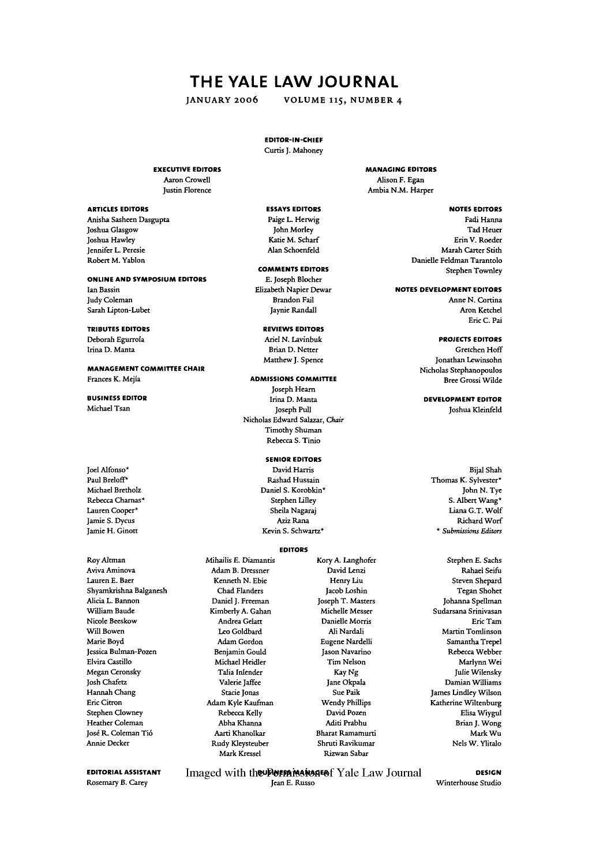## THE YALE LAW **JOURNAL**

**JANUARY 2006 VOLUME 115, NUMBER** 4

## **EDITOR-IN-CHIEF**

Curtis J. Mahoney

**ESSAYS EDITORS** Paige L. Herwig John Morley Katie M. Scharf Alan Schoenfeld **COMMENTS EDITORS E.** Joseph Blocher Elizabeth Napier Dewar Brandon Fail Jaynie Randall **REVIEWS EDITORS** Ariel **N.** Lavinbuk Brian D. Netter Matthew J. Spence **ADMISSIONS COMMITIEE** Joseph Hearn Irina D. Manta Joseph Pull Nicholas Edward Salazar, *Chair* Timothy Shuman Rebecca S. Tinio **SENIOR EDITORS** David Harris Rashad Hussain Daniel S. Korobkin\*

## **EXECUTIVE EDITORS**

Aaron Crowell Justin Florence

## **ARTICLES EDITORS**

Anisha Sasheen Dasgupta Joshua Glasgow Joshua Hawley Jennifer L. Peresie Robert M. Yablon

### **ONLINE AND SYMPOSIUM EDITORS**

Ian Bassin Judy Coleman Sarah Lipton-Lubet

## **TRIBUTES EDITORS**

Deborah Egurrola Irina D. Manta

**MANAGEMENT COMMITTEE CHAIR** Frances K. Mejia

## **BUSINESS EDITOR** Michael Tsan

Joel Alfonso\* Paul Breloff\* Michael Bretholz Rebecca Charnas\* Lauren Cooper\* Jamie S. Dycus Jamie H. Ginott

RoyAltman Aviva Aminova Lauren **E.** Baer Shyamkrishna Balganesh Alicia L. Bannon William Baude Nicole Beeskow Will Bowen Marie Boyd Jessica Bulman-Pozen Elvira Castillo Megan Ceronsky Josh Chafetz Hannah Chang Eric Citron Stephen Clowney Heather Coleman José R. Coleman Tió Annie Decker

**EDITORIAL ASSISTANT** Rosemary **B.** Carey

Imaged with the **Permission Follow** Yale Law Journal Jean **E.** Russo

**MANAGING EDITORS** Alison F. Egan Ambia N.M. Harper

## **NOTES EDITORS**

Fadi Hanna Tad Heuer Erin V. Roeder Marah Carter Stith Danielle Feldman Tarantolo Stephen Townley

**NOTES DEVELOPMENT EDITORS** Anne **N.** Cortina Aron Ketchel

Eric **C.** Pai

## **PROJECTS EDITORS**

Gretchen Hoff Jonathan Lewinsohn Nicholas Stephanopoulos Bree Grossi Vilde

**DEVELOPMENT EDITOR** Joshua Kleinfeld

Bijal Shah Thomas K. Sylvester\* John N. **Tye** S. Albert Wang\* Liana G.T. Wolf Richard Worf *\* Submissions Editors*

Stephen **E.** Sachs Rahael Seifu Steven Shepard Tegan Shohet Johanna Spellman Sudarsana Srinivasan Eric Tam Martin Tomlinson Samantha Trepel Rebecca Webber Marlynn Wei Julie Wilensky Damian Williams James Lindley Wilson Katherine Wiltenburg Elisa Wiygul Brian J. Wong Mark Wu Nels W. Ylitalo

**DESIGN** Winterhouse Studio

Henry Liu Jacob Loshin Joseph T. Masters Michelle Messer Danielle Morris Ali Nardali Eugene Nardelli Jason Navarino Tim Nelson Kay Ng Jane Okpala Sue Paik Wendy Phillips David Pozen Aditi Prabhu Bharat Ramamurti Shruti Ravikumar Rizwan Sabar

## Stephen Lifley Sheila Nagaraj Aziz Rana

Kevin S. Schwartz\*

## **EDITORS**

Mihailis **E.** Diamantis Adam B. Dressner Kenneth **N.** Ebie Chad Flanders Daniel J. Freeman Kimberly A. Gahan Andrea Gelatt Leo Goldbard Adam Gordon Benjamin Gould Michael Heidler Talia Inlender Valerie Jaffee Stacie Jonas Adam Kyle Kaufman Rebecca Kelly Abba Khanna Aarti Khanolkar Rudy Kleysteuber Mark Kressel

# Kory A. Langhofer David Lenzi